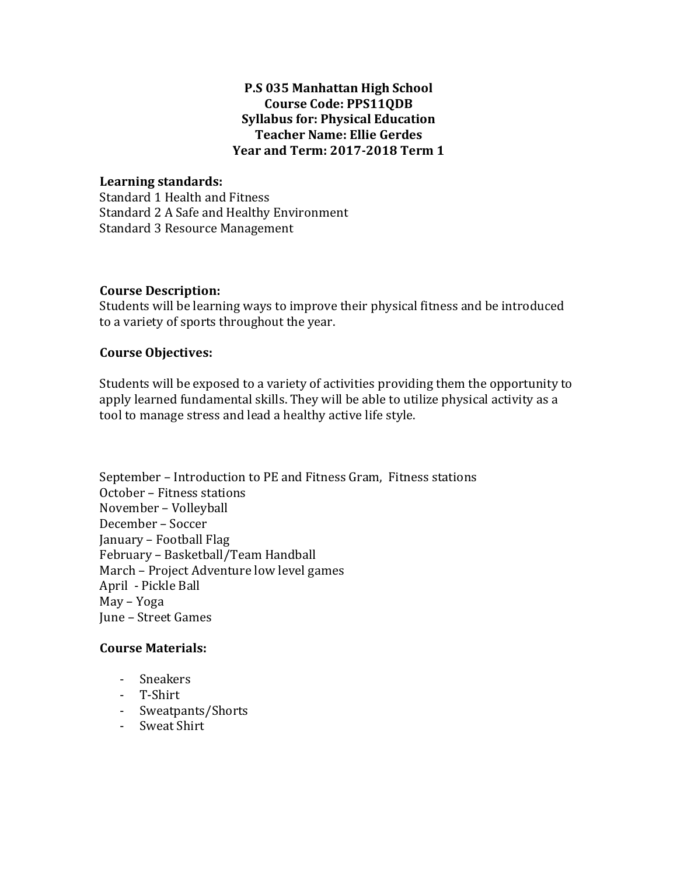# **P.S 035 Manhattan High School Course Code: PPS11QDB Syllabus for: Physical Education Teacher Name: Ellie Gerdes Year and Term: 2017-2018 Term 1**

# **Learning standards:**

Standard 1 Health and Fitness Standard 2 A Safe and Healthy Environment Standard 3 Resource Management

# **Course Description:**

Students will be learning ways to improve their physical fitness and be introduced to a variety of sports throughout the year.

# **Course Objectives:**

Students will be exposed to a variety of activities providing them the opportunity to apply learned fundamental skills. They will be able to utilize physical activity as a tool to manage stress and lead a healthy active life style.

September - Introduction to PE and Fitness Gram, Fitness stations October – Fitness stations November – Volleyball December - Soccer January – Football Flag February - Basketball/Team Handball March - Project Adventure low level games April - Pickle Ball May – Yoga June - Street Games

#### **Course Materials:**

- Sneakers
- T-Shirt
- Sweatpants/Shorts
- Sweat Shirt